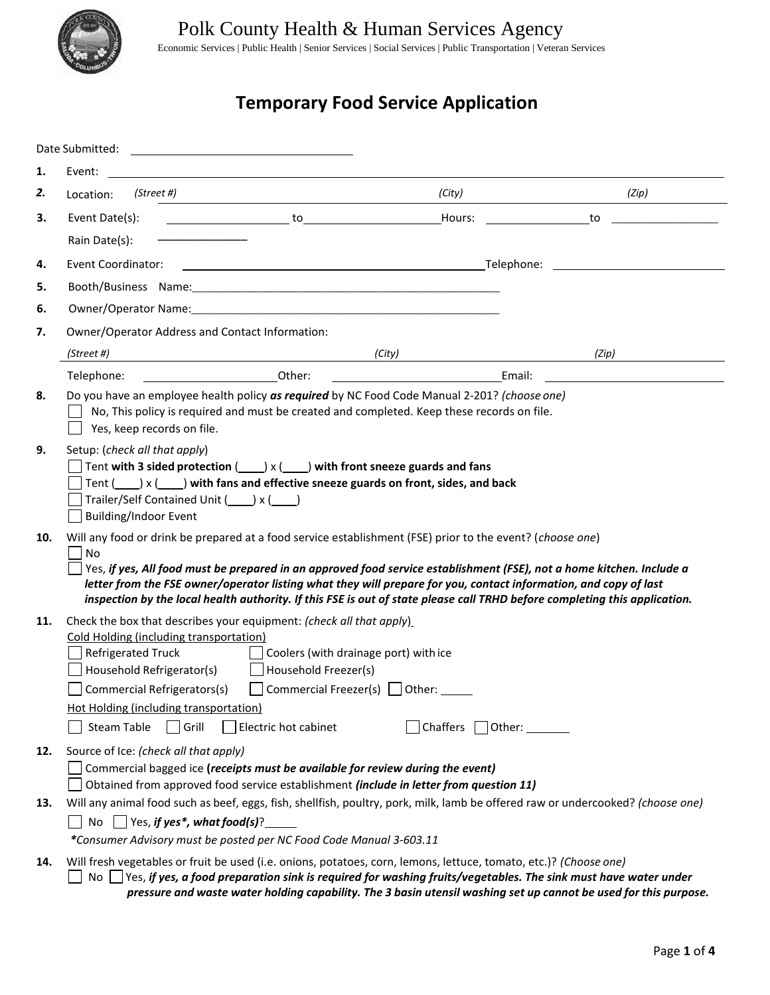

Polk County Health & Human Services Agency

Economic Services | Public Health | Senior Services | Social Services | Public Transportation | Veteran Services

# **Temporary Food Service Application**

|     | Date Submitted:<br>the control of the control of the control of the control of the control of the control of                                                                                                                                                                                                                                                                                                                                                                                      |  |                                                                                                                                                                                                                                                |                                                                                                                  |  |  |  |
|-----|---------------------------------------------------------------------------------------------------------------------------------------------------------------------------------------------------------------------------------------------------------------------------------------------------------------------------------------------------------------------------------------------------------------------------------------------------------------------------------------------------|--|------------------------------------------------------------------------------------------------------------------------------------------------------------------------------------------------------------------------------------------------|------------------------------------------------------------------------------------------------------------------|--|--|--|
| 1.  | Event:                                                                                                                                                                                                                                                                                                                                                                                                                                                                                            |  |                                                                                                                                                                                                                                                |                                                                                                                  |  |  |  |
| 2.  | (Street #)<br>Location:                                                                                                                                                                                                                                                                                                                                                                                                                                                                           |  | (City)                                                                                                                                                                                                                                         | (Zip)                                                                                                            |  |  |  |
| 3.  | Event Date(s):                                                                                                                                                                                                                                                                                                                                                                                                                                                                                    |  | Hours:                                                                                                                                                                                                                                         | to                                                                                                               |  |  |  |
|     | Rain Date(s):                                                                                                                                                                                                                                                                                                                                                                                                                                                                                     |  |                                                                                                                                                                                                                                                |                                                                                                                  |  |  |  |
| 4.  | <b>Event Coordinator:</b>                                                                                                                                                                                                                                                                                                                                                                                                                                                                         |  |                                                                                                                                                                                                                                                |                                                                                                                  |  |  |  |
| 5.  |                                                                                                                                                                                                                                                                                                                                                                                                                                                                                                   |  |                                                                                                                                                                                                                                                |                                                                                                                  |  |  |  |
| 6.  | Owner/Operator Name: Manual According to the Control of the Control of the Control of the Control of the Control of the Control of the Control of the Control of the Control of the Control of the Control of the Control of t                                                                                                                                                                                                                                                                    |  |                                                                                                                                                                                                                                                |                                                                                                                  |  |  |  |
| 7.  | Owner/Operator Address and Contact Information:                                                                                                                                                                                                                                                                                                                                                                                                                                                   |  |                                                                                                                                                                                                                                                |                                                                                                                  |  |  |  |
|     | (Street #)                                                                                                                                                                                                                                                                                                                                                                                                                                                                                        |  | (City)                                                                                                                                                                                                                                         | (Zip)                                                                                                            |  |  |  |
|     | <b>Example 2018</b> Other:<br>Telephone:                                                                                                                                                                                                                                                                                                                                                                                                                                                          |  | <u>and the state of the state of the state of the state of the state of the state of the state of the state of the state of the state of the state of the state of the state of the state of the state of the state of the state</u><br>Email: |                                                                                                                  |  |  |  |
| 8.  | Do you have an employee health policy as required by NC Food Code Manual 2-201? (choose one)<br>No, This policy is required and must be created and completed. Keep these records on file.<br>Yes, keep records on file.                                                                                                                                                                                                                                                                          |  |                                                                                                                                                                                                                                                |                                                                                                                  |  |  |  |
| 9.  | Setup: (check all that apply)<br>Tent with 3 sided protection $($ $)$ x $($ $)$ with front sneeze guards and fans<br>Tent $( ) x ( )$ with fans and effective sneeze guards on front, sides, and back<br>Trailer/Self Contained Unit () x ()<br><b>Building/Indoor Event</b>                                                                                                                                                                                                                      |  |                                                                                                                                                                                                                                                |                                                                                                                  |  |  |  |
| 10. | Will any food or drink be prepared at a food service establishment (FSE) prior to the event? (choose one)<br><b>No</b><br>Yes, if yes, All food must be prepared in an approved food service establishment (FSE), not a home kitchen. Include a<br>letter from the FSE owner/operator listing what they will prepare for you, contact information, and copy of last<br>inspection by the local health authority. If this FSE is out of state please call TRHD before completing this application. |  |                                                                                                                                                                                                                                                |                                                                                                                  |  |  |  |
| 11. | Check the box that describes your equipment: (check all that apply)<br>Cold Holding (including transportation)<br><b>Refrigerated Truck</b><br>Coolers (with drainage port) with ice<br>Household Refrigerator(s)<br>$\Box$ Household Freezer(s)<br>Commercial Refrigerators(s) $\Box$ Commercial Freezer(s) $\Box$ Other:<br><b>Hot Holding (including transportation)</b><br>$ Chaffers \nabla Other:$<br>Steam Table<br>  Grill<br>Electric hot cabinet                                        |  |                                                                                                                                                                                                                                                |                                                                                                                  |  |  |  |
| 12. | Source of Ice: (check all that apply)<br>Commercial bagged ice (receipts must be available for review during the event)<br>Obtained from approved food service establishment (include in letter from question 11)                                                                                                                                                                                                                                                                                 |  |                                                                                                                                                                                                                                                |                                                                                                                  |  |  |  |
| 13. | Will any animal food such as beef, eggs, fish, shellfish, poultry, pork, milk, lamb be offered raw or undercooked? (choose one)<br>No $\Box$ Yes, if yes*, what food(s)?<br>*Consumer Advisory must be posted per NC Food Code Manual 3-603.11                                                                                                                                                                                                                                                    |  |                                                                                                                                                                                                                                                |                                                                                                                  |  |  |  |
| 14. | Will fresh vegetables or fruit be used (i.e. onions, potatoes, corn, lemons, lettuce, tomato, etc.)? (Choose one)<br>No $\Box$ Yes, if yes, a food preparation sink is required for washing fruits/vegetables. The sink must have water under                                                                                                                                                                                                                                                     |  |                                                                                                                                                                                                                                                | pressure and waste water holding capability. The 3 basin utensil washing set up cannot be used for this purpose. |  |  |  |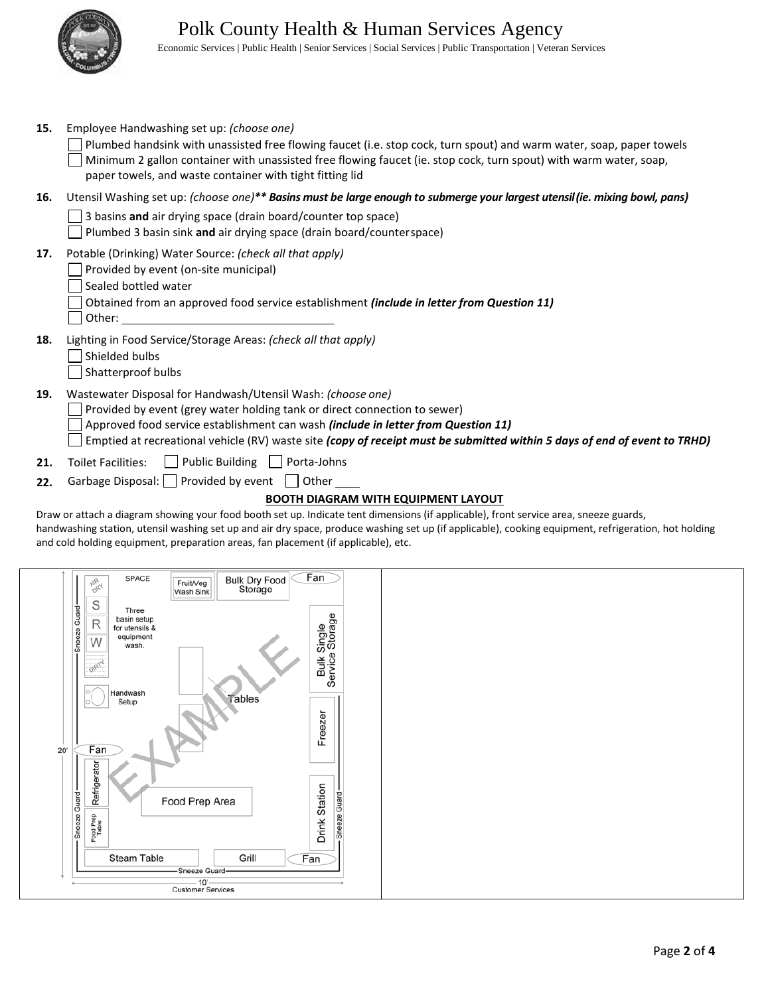

Economic Services | Public Health | Senior Services | Social Services | Public Transportation | Veteran Services

| 15. | Employee Handwashing set up: (choose one)                                                                                                                                                                                                                                                                                                                  |  |  |  |  |  |
|-----|------------------------------------------------------------------------------------------------------------------------------------------------------------------------------------------------------------------------------------------------------------------------------------------------------------------------------------------------------------|--|--|--|--|--|
|     | Plumbed handsink with unassisted free flowing faucet (i.e. stop cock, turn spout) and warm water, soap, paper towels<br>Minimum 2 gallon container with unassisted free flowing faucet (ie. stop cock, turn spout) with warm water, soap,<br>paper towels, and waste container with tight fitting lid                                                      |  |  |  |  |  |
| 16. | Utensil Washing set up: (choose one)** Basins must be large enough to submerge your largest utensil (ie. mixing bowl, pans)                                                                                                                                                                                                                                |  |  |  |  |  |
|     | 3 basins and air drying space (drain board/counter top space)<br>Plumbed 3 basin sink and air drying space (drain board/counterspace)                                                                                                                                                                                                                      |  |  |  |  |  |
| 17. | Potable (Drinking) Water Source: (check all that apply)<br>Provided by event (on-site municipal)<br>Sealed bottled water<br>Obtained from an approved food service establishment (include in letter from Question 11)<br>Other:                                                                                                                            |  |  |  |  |  |
| 18. | Lighting in Food Service/Storage Areas: (check all that apply)<br>Shielded bulbs<br>Shatterproof bulbs                                                                                                                                                                                                                                                     |  |  |  |  |  |
| 19. | Wastewater Disposal for Handwash/Utensil Wash: (choose one)<br>Provided by event (grey water holding tank or direct connection to sewer)<br>Approved food service establishment can wash (include in letter from Question 11)<br>Emptied at recreational vehicle (RV) waste site (copy of receipt must be submitted within 5 days of end of event to TRHD) |  |  |  |  |  |
| 21. | $\Box$ Public Building $\Box$<br><b>Toilet Facilities:</b><br>Porta-Johns                                                                                                                                                                                                                                                                                  |  |  |  |  |  |
| 22. | Garbage Disposal: Provided by event Other                                                                                                                                                                                                                                                                                                                  |  |  |  |  |  |
|     | <b>BOOTH DIAGRAM WITH EQUIPMENT LAYOUT</b>                                                                                                                                                                                                                                                                                                                 |  |  |  |  |  |

Draw or attach a diagram showing your food booth set up. Indicate tent dimensions (if applicable), front service area, sneeze guards, handwashing station, utensil washing set up and air dry space, produce washing set up (if applicable), cooking equipment, refrigeration, hot holding and cold holding equipment, preparation areas, fan placement (if applicable), etc.

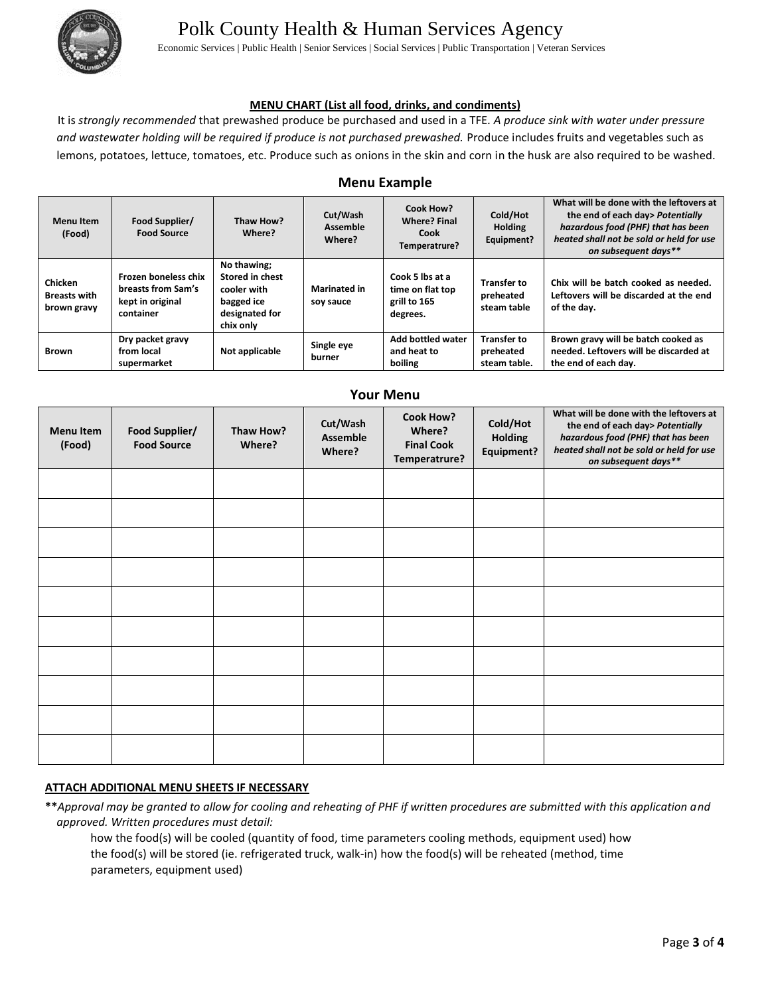

# Polk County Health & Human Services Agency

Economic Services | Public Health | Senior Services | Social Services | Public Transportation | Veteran Services

#### **MENU CHART (List all food, drinks, and condiments)**

It is *strongly recommended* that prewashed produce be purchased and used in a TFE*. A produce sink with water under pressure*  and wastewater holding will be required if produce is not purchased prewashed. Produce includes fruits and vegetables such as lemons, potatoes, lettuce, tomatoes, etc. Produce such as onions in the skin and corn in the husk are also required to be washed.

#### **Menu Example**

| <b>Menu Item</b><br>(Food)                           | Food Supplier/<br><b>Food Source</b>                                        | Thaw How?<br>Where?                                                                        | Cut/Wash<br><b>Assemble</b><br>Where? | Cook How?<br><b>Where? Final</b><br>Cook<br>Temperatrure?       | Cold/Hot<br><b>Holding</b><br>Equipment?        | What will be done with the leftovers at<br>the end of each day> Potentially<br>hazardous food (PHF) that has been<br>heated shall not be sold or held for use<br>on subsequent days** |
|------------------------------------------------------|-----------------------------------------------------------------------------|--------------------------------------------------------------------------------------------|---------------------------------------|-----------------------------------------------------------------|-------------------------------------------------|---------------------------------------------------------------------------------------------------------------------------------------------------------------------------------------|
| <b>Chicken</b><br><b>Breasts with</b><br>brown gravy | Frozen boneless chix<br>breasts from Sam's<br>kept in original<br>container | No thawing;<br>Stored in chest<br>cooler with<br>bagged ice<br>designated for<br>chix only | <b>Marinated in</b><br>soy sauce      | Cook 5 lbs at a<br>time on flat top<br>grill to 165<br>degrees. | <b>Transfer to</b><br>preheated<br>steam table  | Chix will be batch cooked as needed.<br>Leftovers will be discarded at the end<br>of the day.                                                                                         |
| <b>Brown</b>                                         | Dry packet gravy<br>from local<br>supermarket                               | Not applicable                                                                             | Single eye<br>burner                  | Add bottled water<br>and heat to<br><b>boiling</b>              | <b>Transfer to</b><br>preheated<br>steam table. | Brown gravy will be batch cooked as<br>needed. Leftovers will be discarded at<br>the end of each day.                                                                                 |

**Your Menu**

| <b>TOUT IVIETIU</b>        |                                      |                     |                                       |                                                                  |                                          |                                                                                                                                                                                       |  |
|----------------------------|--------------------------------------|---------------------|---------------------------------------|------------------------------------------------------------------|------------------------------------------|---------------------------------------------------------------------------------------------------------------------------------------------------------------------------------------|--|
| <b>Menu Item</b><br>(Food) | Food Supplier/<br><b>Food Source</b> | Thaw How?<br>Where? | Cut/Wash<br><b>Assemble</b><br>Where? | <b>Cook How?</b><br>Where?<br><b>Final Cook</b><br>Temperatrure? | Cold/Hot<br><b>Holding</b><br>Equipment? | What will be done with the leftovers at<br>the end of each day> Potentially<br>hazardous food (PHF) that has been<br>heated shall not be sold or held for use<br>on subsequent days** |  |
|                            |                                      |                     |                                       |                                                                  |                                          |                                                                                                                                                                                       |  |
|                            |                                      |                     |                                       |                                                                  |                                          |                                                                                                                                                                                       |  |
|                            |                                      |                     |                                       |                                                                  |                                          |                                                                                                                                                                                       |  |
|                            |                                      |                     |                                       |                                                                  |                                          |                                                                                                                                                                                       |  |
|                            |                                      |                     |                                       |                                                                  |                                          |                                                                                                                                                                                       |  |
|                            |                                      |                     |                                       |                                                                  |                                          |                                                                                                                                                                                       |  |
|                            |                                      |                     |                                       |                                                                  |                                          |                                                                                                                                                                                       |  |
|                            |                                      |                     |                                       |                                                                  |                                          |                                                                                                                                                                                       |  |
|                            |                                      |                     |                                       |                                                                  |                                          |                                                                                                                                                                                       |  |
|                            |                                      |                     |                                       |                                                                  |                                          |                                                                                                                                                                                       |  |

#### **ATTACH ADDITIONAL MENU SHEETS IF NECESSARY**

**\*\****Approval may be granted to allow for cooling and reheating of PHF if written procedures are submitted with this application and approved. Written procedures must detail:*

how the food(s) will be cooled (quantity of food, time parameters cooling methods, equipment used) how the food(s) will be stored (ie. refrigerated truck, walk‐in) how the food(s) will be reheated (method, time parameters, equipment used)